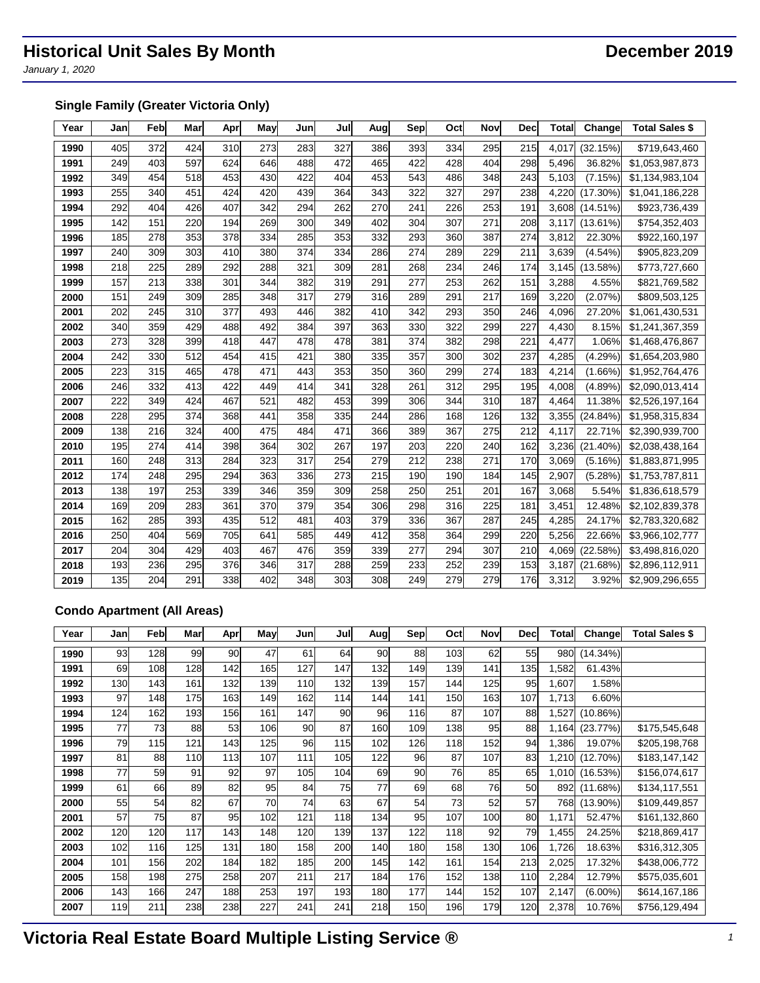*January 1, 2020*

## **Single Family (Greater Victoria Only)**

| Year | Jan | Feb | Mar | Apr | May | Jun | Jul | Aug | Sep | Oct | Nov | <b>Dec</b> | <b>Total</b> | Change      | <b>Total Sales \$</b> |
|------|-----|-----|-----|-----|-----|-----|-----|-----|-----|-----|-----|------------|--------------|-------------|-----------------------|
| 1990 | 405 | 372 | 424 | 310 | 273 | 283 | 327 | 386 | 393 | 334 | 295 | 215        | 4.017        | (32.15%)    | \$719,643,460         |
| 1991 | 249 | 403 | 597 | 624 | 646 | 488 | 472 | 465 | 422 | 428 | 404 | 298        | 5.496        | 36.82%      | \$1,053,987,873       |
| 1992 | 349 | 454 | 518 | 453 | 430 | 422 | 404 | 453 | 543 | 486 | 348 | 243        | 5,103        | (7.15%)     | \$1,134,983,104       |
| 1993 | 255 | 340 | 451 | 424 | 420 | 439 | 364 | 343 | 322 | 327 | 297 | 238        | 4,220        | $(17.30\%)$ | \$1,041,186,228       |
| 1994 | 292 | 404 | 426 | 407 | 342 | 294 | 262 | 270 | 241 | 226 | 253 | 191        | 3,608        | (14.51%)    | \$923,736,439         |
| 1995 | 142 | 151 | 220 | 194 | 269 | 300 | 349 | 402 | 304 | 307 | 271 | 208        | 3,117        | $(13.61\%)$ | \$754,352,403         |
| 1996 | 185 | 278 | 353 | 378 | 334 | 285 | 353 | 332 | 293 | 360 | 387 | 274        | 3,812        | 22.30%      | \$922,160,197         |
| 1997 | 240 | 309 | 303 | 410 | 380 | 374 | 334 | 286 | 274 | 289 | 229 | 211        | 3,639        | $(4.54\%)$  | \$905,823,209         |
| 1998 | 218 | 225 | 289 | 292 | 288 | 321 | 309 | 281 | 268 | 234 | 246 | 174        | 3,145        | (13.58%)    | \$773,727,660         |
| 1999 | 157 | 213 | 338 | 301 | 344 | 382 | 319 | 291 | 277 | 253 | 262 | 151        | 3,288        | 4.55%       | \$821,769,582         |
| 2000 | 151 | 249 | 309 | 285 | 348 | 317 | 279 | 316 | 289 | 291 | 217 | 169        | 3,220        | (2.07%)     | \$809,503,125         |
| 2001 | 202 | 245 | 310 | 377 | 493 | 446 | 382 | 410 | 342 | 293 | 350 | 246        | 4,096        | 27.20%      | \$1,061,430,531       |
| 2002 | 340 | 359 | 429 | 488 | 492 | 384 | 397 | 363 | 330 | 322 | 299 | 227        | 4,430        | 8.15%       | \$1,241,367,359       |
| 2003 | 273 | 328 | 399 | 418 | 447 | 478 | 478 | 381 | 374 | 382 | 298 | 221        | 4,477        | 1.06%       | \$1,468,476,867       |
| 2004 | 242 | 330 | 512 | 454 | 415 | 421 | 380 | 335 | 357 | 300 | 302 | 237        | 4,285        | (4.29%)     | \$1,654,203,980       |
| 2005 | 223 | 315 | 465 | 478 | 471 | 443 | 353 | 350 | 360 | 299 | 274 | 183        | 4,214        | $(1.66\%)$  | \$1,952,764,476       |
| 2006 | 246 | 332 | 413 | 422 | 449 | 414 | 341 | 328 | 261 | 312 | 295 | 195        | 4,008        | (4.89%)     | \$2,090,013,414       |
| 2007 | 222 | 349 | 424 | 467 | 521 | 482 | 453 | 399 | 306 | 344 | 310 | 187        | 4,464        | 11.38%      | \$2,526,197,164       |
| 2008 | 228 | 295 | 374 | 368 | 441 | 358 | 335 | 244 | 286 | 168 | 126 | 132        | 3,355        | $(24.84\%)$ | \$1,958,315,834       |
| 2009 | 138 | 216 | 324 | 400 | 475 | 484 | 471 | 366 | 389 | 367 | 275 | 212        | 4,117        | 22.71%      | \$2,390,939,700       |
| 2010 | 195 | 274 | 414 | 398 | 364 | 302 | 267 | 197 | 203 | 220 | 240 | 162        | 3,236        | $(21.40\%)$ | \$2,038,438,164       |
| 2011 | 160 | 248 | 313 | 284 | 323 | 317 | 254 | 279 | 212 | 238 | 271 | 170        | 3,069        | (5.16%)     | \$1,883,871,995       |
| 2012 | 174 | 248 | 295 | 294 | 363 | 336 | 273 | 215 | 190 | 190 | 184 | 145        | 2,907        | (5.28%)     | \$1,753,787,811       |
| 2013 | 138 | 197 | 253 | 339 | 346 | 359 | 309 | 258 | 250 | 251 | 201 | 167        | 3,068        | 5.54%       | \$1,836,618,579       |
| 2014 | 169 | 209 | 283 | 361 | 370 | 379 | 354 | 306 | 298 | 316 | 225 | 181        | 3,451        | 12.48%      | \$2,102,839,378       |
| 2015 | 162 | 285 | 393 | 435 | 512 | 481 | 403 | 379 | 336 | 367 | 287 | 245        | 4,285        | 24.17%      | \$2,783,320,682       |
| 2016 | 250 | 404 | 569 | 705 | 641 | 585 | 449 | 412 | 358 | 364 | 299 | 220        | 5,256        | 22.66%      | \$3,966,102,777       |
| 2017 | 204 | 304 | 429 | 403 | 467 | 476 | 359 | 339 | 277 | 294 | 307 | 210        | 4,069        | (22.58%)    | \$3,498,816,020       |
| 2018 | 193 | 236 | 295 | 376 | 346 | 317 | 288 | 259 | 233 | 252 | 239 | 153        | 3,187        | (21.68%)    | \$2,896,112,911       |
| 2019 | 135 | 204 | 291 | 338 | 402 | 348 | 303 | 308 | 249 | 279 | 279 | 176        | 3,312        | 3.92%       | \$2,909,296,655       |

## **Condo Apartment (All Areas)**

| Year | Jan | Feb | Mar | Apr | May | Jun | Jul | Aug | Sep | Oct | Nov | Decl | <b>Total</b> | Change      | Total Sales \$ |
|------|-----|-----|-----|-----|-----|-----|-----|-----|-----|-----|-----|------|--------------|-------------|----------------|
| 1990 | 93  | 128 | 99  | 90  | 47  | 61  | 64  | 90  | 88  | 103 | 62  | 55   | 980          | $(14.34\%)$ |                |
| 1991 | 69  | 108 | 128 | 142 | 165 | 127 | 147 | 132 | 149 | 139 | 141 | 135  | 1,582        | 61.43%      |                |
| 1992 | 130 | 143 | 161 | 132 | 139 | 110 | 132 | 139 | 157 | 144 | 125 | 95   | 1,607        | 1.58%       |                |
| 1993 | 97  | 148 | 175 | 163 | 149 | 162 | 114 | 144 | 141 | 150 | 163 | 107  | 1,713        | 6.60%       |                |
| 1994 | 124 | 162 | 193 | 156 | 161 | 147 | 90  | 96  | 116 | 87  | 107 | 88   | 1,527        | (10.86%)    |                |
| 1995 | 77  | 73  | 88  | 53  | 106 | 90  | 87  | 160 | 109 | 138 | 95  | 88   | 1,164        | (23.77%)    | \$175,545,648  |
| 1996 | 79  | 115 | 121 | 143 | 125 | 96  | 115 | 102 | 126 | 118 | 152 | 94   | 1,386        | 19.07%      | \$205,198,768  |
| 1997 | 81  | 88  | 110 | 113 | 107 | 111 | 105 | 122 | 96  | 87  | 107 | 83   | 1,210        | $(12.70\%)$ | \$183,147,142  |
| 1998 | 77  | 59  | 91  | 92  | 97  | 105 | 104 | 69  | 90  | 76  | 85  | 65   | 1,010        | (16.53%)    | \$156,074,617  |
| 1999 | 61  | 66  | 89  | 82  | 95  | 84  | 75  | 77  | 69  | 68  | 76  | 50   | 892          | (11.68%)    | \$134,117,551  |
| 2000 | 55  | 54  | 82  | 67  | 70  | 74  | 63  | 67  | 54  | 73  | 52  | 57   | 768          | $(13.90\%)$ | \$109,449,857  |
| 2001 | 57  | 75  | 87  | 95  | 102 | 121 | 118 | 134 | 95  | 107 | 100 | 80   | 1,171        | 52.47%      | \$161,132,860  |
| 2002 | 120 | 120 | 117 | 143 | 148 | 120 | 139 | 137 | 122 | 118 | 92  | 79   | 1,455        | 24.25%      | \$218,869,417  |
| 2003 | 102 | 116 | 125 | 131 | 180 | 158 | 200 | 140 | 180 | 158 | 130 | 106  | 1,726        | 18.63%      | \$316,312,305  |
| 2004 | 101 | 156 | 202 | 184 | 182 | 185 | 200 | 145 | 142 | 161 | 154 | 213  | 2,025        | 17.32%      | \$438,006,772  |
| 2005 | 158 | 198 | 275 | 258 | 207 | 211 | 217 | 184 | 176 | 152 | 138 | 110  | 2,284        | 12.79%      | \$575,035,601  |
| 2006 | 143 | 166 | 247 | 188 | 253 | 197 | 193 | 180 | 177 | 144 | 152 | 107  | 2,147        | $(6.00\%)$  | \$614,167,186  |
| 2007 | 119 | 211 | 238 | 238 | 227 | 241 | 241 | 218 | 150 | 196 | 179 | 120  | 2,378        | 10.76%      | \$756,129,494  |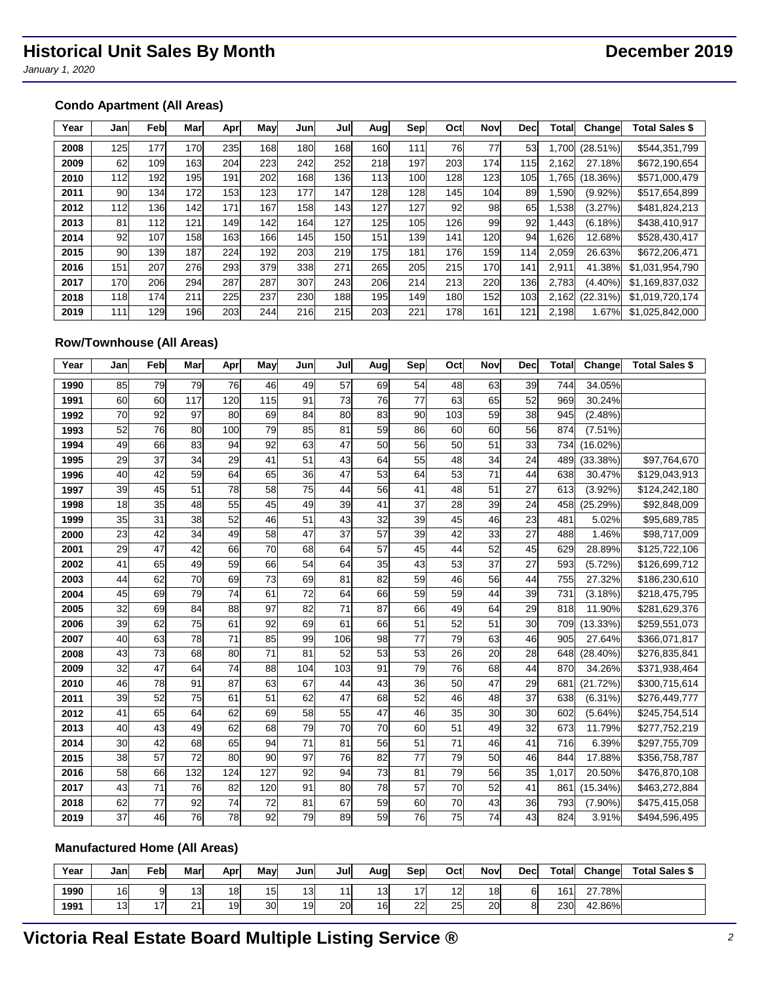*January 1, 2020*

## **Condo Apartment (All Areas)**

| Year | Jan | Feb | Mar | Apr | May | Jun | Jul | Aug | Sep | Oct | Nov | Decl | <b>Total</b> | Changel    | <b>Total Sales \$</b> |
|------|-----|-----|-----|-----|-----|-----|-----|-----|-----|-----|-----|------|--------------|------------|-----------------------|
| 2008 | 125 | 177 | 170 | 235 | 168 | 180 | 168 | 160 | 111 | 76  | 77  | 53   | .700         | (28.51%)   | \$544,351,799         |
| 2009 | 62  | 109 | 163 | 204 | 223 | 242 | 252 | 218 | 197 | 203 | 174 | 115  | 2,162        | 27.18%     | \$672,190,654         |
| 2010 | 112 | 192 | 195 | 191 | 202 | 168 | 136 | 113 | 100 | 128 | 123 | 105  | .765         | (18.36%)   | \$571,000,479         |
| 2011 | 90  | 134 | 172 | 153 | 123 | 177 | 147 | 128 | 128 | 145 | 104 | 89   | .590         | $(9.92\%)$ | \$517,654,899         |
| 2012 | 112 | 136 | 142 | 171 | 167 | 158 | 143 | 127 | 127 | 92  | 98  | 65   | .538         | (3.27%)    | \$481,824,213         |
| 2013 | 81  | 112 | 121 | 149 | 142 | 164 | 127 | 125 | 105 | 126 | 99  | 92   | .443         | $(6.18\%)$ | \$438,410,917         |
| 2014 | 92  | 107 | 158 | 163 | 166 | 145 | 150 | 151 | 139 | 141 | 120 | 94   | .626         | 12.68%     | \$528,430,417         |
| 2015 | 90  | 139 | 187 | 224 | 192 | 203 | 219 | 175 | 181 | 176 | 159 | 114  | 2,059        | 26.63%     | \$672,206,471         |
| 2016 | 151 | 207 | 276 | 293 | 379 | 338 | 271 | 265 | 205 | 215 | 170 | 141  | 2,911        | 41.38%     | \$1,031,954,790       |
| 2017 | 170 | 206 | 294 | 287 | 287 | 307 | 243 | 206 | 214 | 213 | 220 | 136l | 2,783        | $(4.40\%)$ | \$1,169,837,032       |
| 2018 | 118 | 174 | 211 | 225 | 237 | 230 | 188 | 195 | 149 | 180 | 152 | 103  | 2.162        | (22.31%)   | \$1.019.720.174       |
| 2019 | 111 | 129 | 196 | 203 | 244 | 216 | 215 | 203 | 221 | 178 | 161 | 121  | 2.198        | 1.67%      | \$1,025,842,000       |

## **Row/Townhouse (All Areas)**

| Year | Jan | Feb | Mar | Apr | May | Jun | Jul             | Aug | Sep | Oct | Nov | Dec | <b>Total</b> | Change      | <b>Total Sales \$</b> |
|------|-----|-----|-----|-----|-----|-----|-----------------|-----|-----|-----|-----|-----|--------------|-------------|-----------------------|
| 1990 | 85  | 79  | 79  | 76  | 46  | 49  | 57              | 69  | 54  | 48  | 63  | 39  | 744          | 34.05%      |                       |
| 1991 | 60  | 60  | 117 | 120 | 115 | 91  | 73              | 76  | 77  | 63  | 65  | 52  | 969          | 30.24%      |                       |
| 1992 | 70  | 92  | 97  | 80  | 69  | 84  | 80              | 83  | 90  | 103 | 59  | 38  | 945          | (2.48%)     |                       |
| 1993 | 52  | 76  | 80  | 100 | 79  | 85  | 81              | 59  | 86  | 60  | 60  | 56  | 874          | $(7.51\%)$  |                       |
| 1994 | 49  | 66  | 83  | 94  | 92  | 63  | 47              | 50  | 56  | 50  | 51  | 33  | 734          | $(16.02\%)$ |                       |
| 1995 | 29  | 37  | 34  | 29  | 41  | 51  | 43              | 64  | 55  | 48  | 34  | 24  | 489          | (33.38%)    | \$97,764,670          |
| 1996 | 40  | 42  | 59  | 64  | 65  | 36  | 47              | 53  | 64  | 53  | 71  | 44  | 638          | 30.47%      | \$129,043,913         |
| 1997 | 39  | 45  | 51  | 78  | 58  | 75  | 44              | 56  | 41  | 48  | 51  | 27  | 613          | $(3.92\%)$  | \$124,242,180         |
| 1998 | 18  | 35  | 48  | 55  | 45  | 49  | 39              | 41  | 37  | 28  | 39  | 24  | 458          | (25.29%)    | \$92,848,009          |
| 1999 | 35  | 31  | 38  | 52  | 46  | 51  | 43              | 32  | 39  | 45  | 46  | 23  | 481          | 5.02%       | \$95,689,785          |
| 2000 | 23  | 42  | 34  | 49  | 58  | 47  | 37              | 57  | 39  | 42  | 33  | 27  | 488          | 1.46%       | \$98,717,009          |
| 2001 | 29  | 47  | 42  | 66  | 70  | 68  | 64              | 57  | 45  | 44  | 52  | 45  | 629          | 28.89%      | \$125,722,106         |
| 2002 | 41  | 65  | 49  | 59  | 66  | 54  | 64              | 35  | 43  | 53  | 37  | 27  | 593          | (5.72%)     | \$126,699,712         |
| 2003 | 44  | 62  | 70  | 69  | 73  | 69  | 81              | 82  | 59  | 46  | 56  | 44  | 755          | 27.32%      | \$186,230,610         |
| 2004 | 45  | 69  | 79  | 74  | 61  | 72  | 64              | 66  | 59  | 59  | 44  | 39  | 731          | (3.18%)     | \$218,475,795         |
| 2005 | 32  | 69  | 84  | 88  | 97  | 82  | $\overline{71}$ | 87  | 66  | 49  | 64  | 29  | 818          | 11.90%      | \$281,629,376         |
| 2006 | 39  | 62  | 75  | 61  | 92  | 69  | 61              | 66  | 51  | 52  | 51  | 30  | 709          | (13.33%)    | \$259,551,073         |
| 2007 | 40  | 63  | 78  | 71  | 85  | 99  | 106             | 98  | 77  | 79  | 63  | 46  | 905          | 27.64%      | \$366,071,817         |
| 2008 | 43  | 73  | 68  | 80  | 71  | 81  | 52              | 53  | 53  | 26  | 20  | 28  | 648          | $(28.40\%)$ | \$276,835,841         |
| 2009 | 32  | 47  | 64  | 74  | 88  | 104 | 103             | 91  | 79  | 76  | 68  | 44  | 870          | 34.26%      | \$371,938,464         |
| 2010 | 46  | 78  | 91  | 87  | 63  | 67  | 44              | 43  | 36  | 50  | 47  | 29  | 681          | (21.72%)    | \$300,715,614         |
| 2011 | 39  | 52  | 75  | 61  | 51  | 62  | 47              | 68  | 52  | 46  | 48  | 37  | 638          | $(6.31\%)$  | \$276,449,777         |
| 2012 | 41  | 65  | 64  | 62  | 69  | 58  | 55              | 47  | 46  | 35  | 30  | 30  | 602          | (5.64%)     | \$245,754,514         |
| 2013 | 40  | 43  | 49  | 62  | 68  | 79  | $\overline{70}$ | 70  | 60  | 51  | 49  | 32  | 673          | 11.79%      | \$277,752,219         |
| 2014 | 30  | 42  | 68  | 65  | 94  | 71  | 81              | 56  | 51  | 71  | 46  | 41  | 716          | 6.39%       | \$297,755,709         |
| 2015 | 38  | 57  | 72  | 80  | 90  | 97  | 76              | 82  | 77  | 79  | 50  | 46  | 844          | 17.88%      | \$356,758,787         |
| 2016 | 58  | 66  | 132 | 124 | 127 | 92  | 94              | 73  | 81  | 79  | 56  | 35  | 1,017        | 20.50%      | \$476,870,108         |
| 2017 | 43  | 71  | 76  | 82  | 120 | 91  | 80              | 78  | 57  | 70  | 52  | 41  | 861          | $(15.34\%)$ | \$463,272,884         |
| 2018 | 62  | 77  | 92  | 74  | 72  | 81  | 67              | 59  | 60  | 70  | 43  | 36  | 793          | $(7.90\%)$  | \$475,415,058         |
| 2019 | 37  | 46  | 76  | 78  | 92  | 79  | 89              | 59  | 76  | 75  | 74  | 43  | 824          | 3.91%       | \$494,596,495         |

## **Manufactured Home (All Areas)**

| Year | Janl | ≂ebl | Mar             | Apr | Mav | Junl | Jull | Aua | <b>Sep</b> | Oct | Nov | Decl | Total | Change | <b>Total Sales \$</b> |
|------|------|------|-----------------|-----|-----|------|------|-----|------------|-----|-----|------|-------|--------|-----------------------|
| 1990 | 16   | 9    | 13 <sub>1</sub> | 18  | 15  | 3    | .,   | 13  |            | 12  | 18  | 61   | 161   | 27.78% |                       |
| 1991 | 13   | 17   | $\Omega$<br>∼   | 19  | 30  | 19   | 20   | 16  | 22         | 25  | 20  | 81   | 230   | 42.86% |                       |

# **Victoria Real Estate Board Multiple Listing Service ®** *<sup>2</sup>*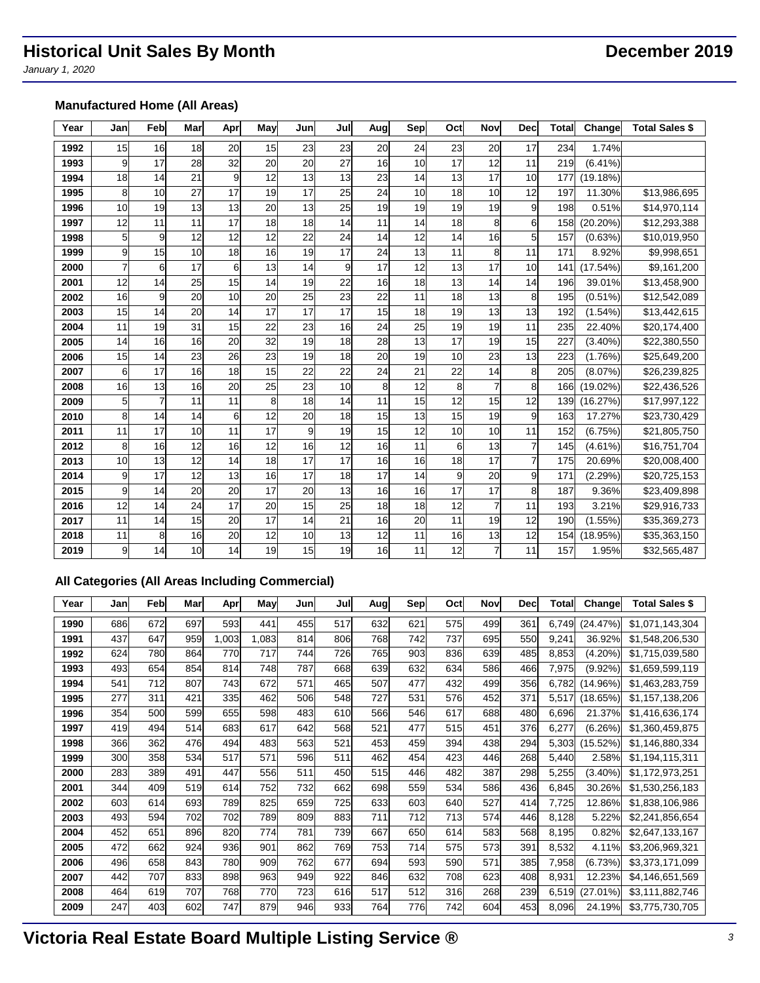*January 1, 2020*

## **Manufactured Home (All Areas)**

| Year | Jan | Feb | Mar | Apr | May | Jun | Jul             | Augl | Sep | Oct | Nov            | <b>Dec</b> | <b>Total</b> | Change      | <b>Total Sales \$</b> |
|------|-----|-----|-----|-----|-----|-----|-----------------|------|-----|-----|----------------|------------|--------------|-------------|-----------------------|
| 1992 | 15  | 16  | 18  | 20  | 15  | 23  | 23              | 20   | 24  | 23  | 20             | 17         | 234          | 1.74%       |                       |
| 1993 | 9   | 17  | 28  | 32  | 20  | 20  | $\overline{27}$ | 16   | 10  | 17  | 12             | 11         | 219          | (6.41%      |                       |
| 1994 | 18  | 14  | 21  | 9   | 12  | 13  | 13              | 23   | 14  | 13  | 17             | 10         | 177          | (19.18%)    |                       |
| 1995 | 8   | 10  | 27  | 17  | 19  | 17  | 25              | 24   | 10  | 18  | 10             | 12         | 197          | 11.30%      | \$13,986,695          |
| 1996 | 10  | 19  | 13  | 13  | 20  | 13  | 25              | 19   | 19  | 19  | 19             | 9          | 198          | 0.51%       | \$14,970,114          |
| 1997 | 12  | 11  | 11  | 17  | 18  | 18  | 14              | 11   | 14  | 18  | 8              | 6          | 158          | $(20.20\%)$ | \$12,293,388          |
| 1998 | 5   | 9   | 12  | 12  | 12  | 22  | 24              | 14   | 12  | 14  | 16             | 5          | 157          | (0.63%)     | \$10,019,950          |
| 1999 | 9   | 15  | 10  | 18  | 16  | 19  | 17              | 24   | 13  | 11  | 8              | 11         | 171          | 8.92%       | \$9,998,651           |
| 2000 |     | 6   | 17  | 6   | 13  | 14  | 9               | 17   | 12  | 13  | 17             | 10         | 141          | (17.54%)    | \$9,161,200           |
| 2001 | 12  | 14  | 25  | 15  | 14  | 19  | 22              | 16   | 18  | 13  | 14             | 14         | 196          | 39.01%      | \$13,458,900          |
| 2002 | 16  | 9   | 20  | 10  | 20  | 25  | 23              | 22   | 11  | 18  | 13             | 8          | 195          | $(0.51\%)$  | \$12,542,089          |
| 2003 | 15  | 14  | 20  | 14  | 17  | 17  | 17              | 15   | 18  | 19  | 13             | 13         | 192          | $(1.54\%)$  | \$13,442,615          |
| 2004 | 11  | 19  | 31  | 15  | 22  | 23  | 16              | 24   | 25  | 19  | 19             | 11         | 235          | 22.40%      | \$20,174,400          |
| 2005 | 14  | 16  | 16  | 20  | 32  | 19  | 18              | 28   | 13  | 17  | 19             | 15         | 227          | $(3.40\%)$  | \$22,380,550          |
| 2006 | 15  | 14  | 23  | 26  | 23  | 19  | 18              | 20   | 19  | 10  | 23             | 13         | 223          | (1.76%)     | \$25,649,200          |
| 2007 | 6   | 17  | 16  | 18  | 15  | 22  | $\overline{22}$ | 24   | 21  | 22  | 14             | 8          | 205          | (8.07%)     | \$26,239,825          |
| 2008 | 16  | 13  | 16  | 20  | 25  | 23  | 10              | 8    | 12  | 8   |                | 8          | 166          | $(19.02\%)$ | \$22,436,526          |
| 2009 | 5   | 7   | 11  | 11  | 8   | 18  | 14              | 11   | 15  | 12  | 15             | 12         | 139          | (16.27%)    | \$17,997,122          |
| 2010 | 8   | 14  | 14  | 6   | 12  | 20  | 18              | 15   | 13  | 15  | 19             | 9          | 163          | 17.27%      | \$23,730,429          |
| 2011 | 11  | 17  | 10  | 11  | 17  | 9   | 19              | 15   | 12  | 10  | 10             | 11         | 152          | (6.75%)     | \$21,805,750          |
| 2012 | 8   | 16  | 12  | 16  | 12  | 16  | 12              | 16   | 11  | 6   | 13             | 7          | 145          | $(4.61\%)$  | \$16,751,704          |
| 2013 | 10  | 13  | 12  | 14  | 18  | 17  | 17              | 16   | 16  | 18  | 17             | 7          | 175          | 20.69%      | \$20,008,400          |
| 2014 | 9   | 17  | 12  | 13  | 16  | 17  | 18              | 17   | 14  | 9   | 20             | 9          | 171          | (2.29%)     | \$20,725,153          |
| 2015 | 9   | 14  | 20  | 20  | 17  | 20  | 13              | 16   | 16  | 17  | 17             | 8          | 187          | 9.36%       | \$23,409,898          |
| 2016 | 12  | 14  | 24  | 17  | 20  | 15  | 25              | 18   | 18  | 12  | $\overline{7}$ | 11         | 193          | 3.21%       | \$29,916,733          |
| 2017 | 11  | 14  | 15  | 20  | 17  | 14  | 21              | 16   | 20  | 11  | 19             | 12         | 190          | $(1.55\%)$  | \$35,369,273          |
| 2018 | 11  | 8   | 16  | 20  | 12  | 10  | 13              | 12   | 11  | 16  | 13             | 12         | 154          | (18.95%)    | \$35,363,150          |
| 2019 | 9   | 14  | 10  | 14  | 19  | 15  | 19              | 16   | 11  | 12  | $\overline{7}$ | 11         | 157          | 1.95%       | \$32,565,487          |

## **All Categories (All Areas Including Commercial)**

| Year | Jan | Feb | Mar | Apr   | May   | Jun | Jul | Aug | Sep | Oct | Nov | <b>Dec</b> | Total | Change     | <b>Total Sales \$</b> |
|------|-----|-----|-----|-------|-------|-----|-----|-----|-----|-----|-----|------------|-------|------------|-----------------------|
| 1990 | 686 | 672 | 697 | 593   | 441   | 455 | 517 | 632 | 621 | 575 | 499 | 361        | 6,749 | (24.47%)   | \$1,071,143,304       |
| 1991 | 437 | 647 | 959 | 1,003 | 1,083 | 814 | 806 | 768 | 742 | 737 | 695 | 550        | 9,241 | 36.92%     | \$1,548,206,530       |
| 1992 | 624 | 780 | 864 | 770   | 717   | 744 | 726 | 765 | 903 | 836 | 639 | 485        | 8,853 | $(4.20\%)$ | \$1,715,039,580       |
| 1993 | 493 | 654 | 854 | 814   | 748   | 787 | 668 | 639 | 632 | 634 | 586 | 466        | 7,975 | $(9.92\%)$ | \$1,659,599,119       |
| 1994 | 541 | 712 | 807 | 743   | 672   | 571 | 465 | 507 | 477 | 432 | 499 | 356        | 6,782 | (14.96%)   | \$1,463,283,759       |
| 1995 | 277 | 311 | 421 | 335   | 462   | 506 | 548 | 727 | 531 | 576 | 452 | 371        | 5,517 | (18.65%)   | \$1,157,138,206       |
| 1996 | 354 | 500 | 599 | 655   | 598   | 483 | 610 | 566 | 546 | 617 | 688 | 480        | 6,696 | 21.37%     | \$1,416,636,174       |
| 1997 | 419 | 494 | 514 | 683   | 617   | 642 | 568 | 521 | 477 | 515 | 451 | 376        | 6,277 | (6.26%)    | \$1,360,459,875       |
| 1998 | 366 | 362 | 476 | 494   | 483   | 563 | 521 | 453 | 459 | 394 | 438 | 294        | 5,303 | (15.52%)   | \$1,146,880,334       |
| 1999 | 300 | 358 | 534 | 517   | 571   | 596 | 511 | 462 | 454 | 423 | 446 | 268        | 5,440 | 2.58%      | \$1,194,115,311       |
| 2000 | 283 | 389 | 491 | 447   | 556   | 511 | 450 | 515 | 446 | 482 | 387 | 298        | 5,255 | $(3.40\%)$ | \$1,172,973,251       |
| 2001 | 344 | 409 | 519 | 614   | 752   | 732 | 662 | 698 | 559 | 534 | 586 | 436        | 6,845 | 30.26%     | \$1,530,256,183       |
| 2002 | 603 | 614 | 693 | 789   | 825   | 659 | 725 | 633 | 603 | 640 | 527 | 414        | 7,725 | 12.86%     | \$1,838,106,986       |
| 2003 | 493 | 594 | 702 | 702   | 789   | 809 | 883 | 711 | 712 | 713 | 574 | 446        | 8,128 | 5.22%      | \$2,241,856,654       |
| 2004 | 452 | 651 | 896 | 820   | 774   | 781 | 739 | 667 | 650 | 614 | 583 | 568        | 8,195 | 0.82%      | \$2,647,133,167       |
| 2005 | 472 | 662 | 924 | 936   | 901   | 862 | 769 | 753 | 714 | 575 | 573 | 391        | 8,532 | 4.11%      | \$3,206,969,321       |
| 2006 | 496 | 658 | 843 | 780   | 909   | 762 | 677 | 694 | 593 | 590 | 571 | 385        | 7,958 | (6.73%)    | \$3,373,171,099       |
| 2007 | 442 | 707 | 833 | 898   | 963   | 949 | 922 | 846 | 632 | 708 | 623 | 408        | 8,931 | 12.23%     | \$4,146,651,569       |
| 2008 | 464 | 619 | 707 | 768   | 770   | 723 | 616 | 517 | 512 | 316 | 268 | 239        | 6,519 | (27.01%)   | \$3,111,882,746       |
| 2009 | 247 | 403 | 602 | 747   | 879   | 946 | 933 | 764 | 776 | 742 | 604 | 453        | 8,096 | 24.19%     | \$3,775,730,705       |